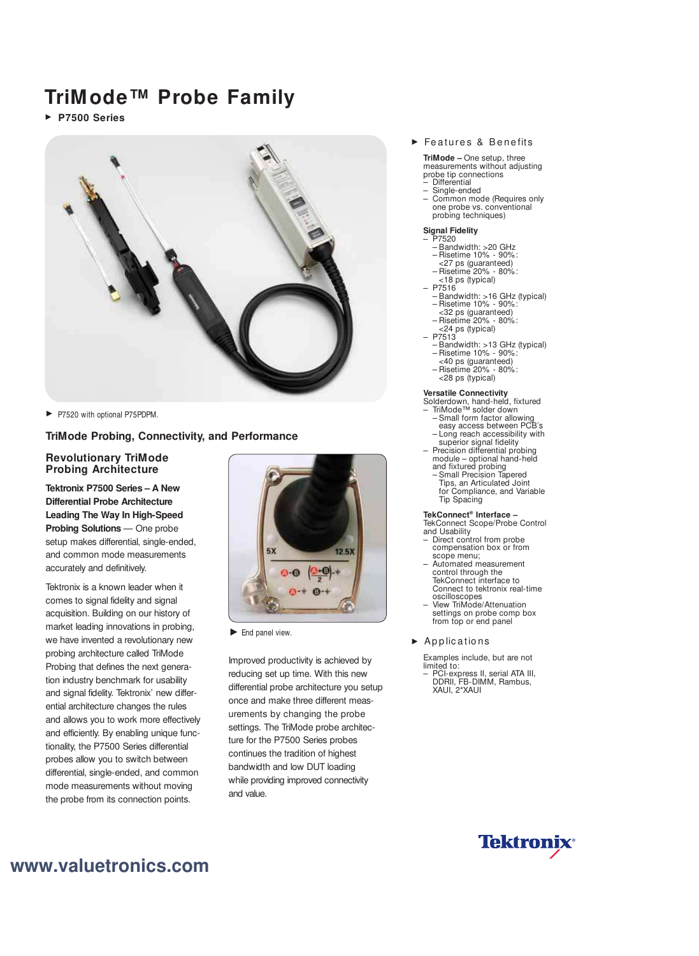# **TriMode™ Probe Family**

**P7500 Series** 



P7520 with optional P75PDPM.

# **TriMode Probing, Connectivity, and Performance**

### **Revolutionary TriMode Probing Architecture**

**Tektronix P7500 Series – A New Differential Probe Architecture Leading The Way In High-Speed Probing Solutions** — One probe setup makes differential, single-ended, and common mode measurements accurately and definitively.

Tektronix is a known leader when it comes to signal fidelity and signal acquisition. Building on our history of market leading innovations in probing, we have invented a revolutionary new probing architecture called TriMode Probing that defines the next generation industry benchmark for usability and signal fidelity. Tektronix' new differential architecture changes the rules and allows you to work more effectively and efficiently. By enabling unique functionality, the P7500 Series differential probes allow you to switch between differential, single-ended, and common mode measurements without moving the probe from its connection points.



 $\blacktriangleright$  End panel view.

Improved productivity is achieved by reducing set up time. With this new differential probe architecture you setup once and make three different measurements by changing the probe settings. The TriMode probe architecture for the P7500 Series probes continues the tradition of highest bandwidth and low DUT loading while providing improved connectivity and value.

#### Features & Benefits

**TriMode –** One setup, three measurements without adjusting probe tip connections

- Differential
	- Single-ended – Common mode (Requires only one probe vs. conventional probing techniques)

#### **Signal Fidelity**

- P7520
- Bandwidth: >20 GHz – Risetime 10% - 90%:
- <27 ps (guaranteed)
- Risetime 20% 80%:
- <18 ps (typical)
- P7516
- Bandwidth: >16 GHz (typical) – Risetime 10% - 90%:
- <32 ps (guaranteed)
- Risetime 20% 80%:
- <24 ps (typical) – P7513
	- Bandwidth: >13 GHz (typical)
	- Risetime 10% 90%:
	- <40 ps (guaranteed)
	- Risetime 20% 80%:
	- <28 ps (typical)

#### **Versatile Connectivity**

- Solderdown, hand-held, fixtured – TriMode™ solder down
- Small form factor allowing easy access between PCB's – Long reach accessibility with
- superior signal fidelity – Precision differential probing
- module optional hand-held and fixtured probing – Small Precision Tapered
- Tips, an Articulated Joint for Compliance, and Variable Tip Spacing

#### **TekConnect® Interface –**

TekConnect Scope/Probe Control and Usability

- Direct control from probe compensation box or from scope menu:
- Automated measurement control through the TekConnect interface to Connect to tektronix real-time oscilloscopes
- View TriMode/Attenuation settings on probe comp box from top or end panel

#### $\blacktriangleright$  Applications

Examples include, but are not limited to:

– PCI-express II, serial ATA III, DDRII, FB-DIMM, Rambus, XAUI, 2\*XAUI



# **www.valuetronics.com**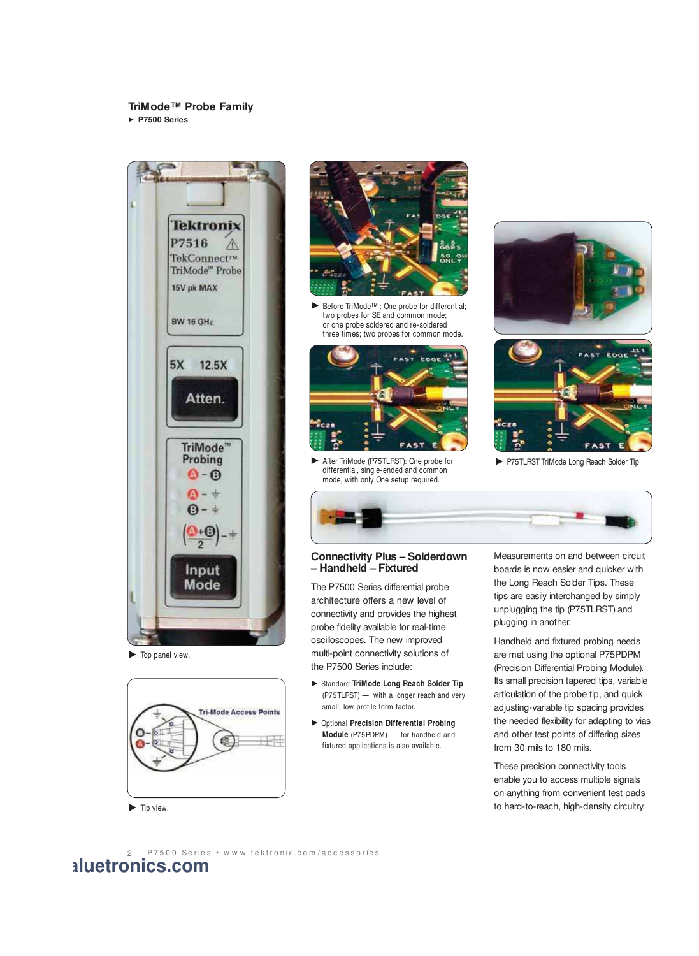## **TriMode™ Probe Family**

**P7500 Series** 



 $\blacktriangleright$  Top panel view.





Before TriMode™ : One probe for differential; two probes for SE and common mode; or one probe soldered and re-soldered three times; two probes for common mode.



After TriMode (P75TLRST): One probe for differential, single-ended and common mode, with only One setup required.





P75TLRST TriMode Long Reach Solder Tip.



## **Connectivity Plus – Solderdown – Handheld – Fixtured**

The P7500 Series differential probe architecture offers a new level of connectivity and provides the highest probe fidelity available for real-time oscilloscopes. The new improved multi-point connectivity solutions of the P7500 Series include:

- Standard **TriMode Long Reach Solder Tip** (P75TLRST) — with a longer reach and very small, low profile form factor.
- Optional **Precision Differential Probing Module** (P75PDPM) — for handheld and fixtured applications is also available.

Measurements on and between circuit boards is now easier and quicker with the Long Reach Solder Tips. These tips are easily interchanged by simply unplugging the tip (P75TLRST) and plugging in another.

Handheld and fixtured probing needs are met using the optional P75PDPM (Precision Differential Probing Module). Its small precision tapered tips, variable articulation of the probe tip, and quick adjusting-variable tip spacing provides the needed flexibility for adapting to vias and other test points of differing sizes from 30 mils to 180 mils.

These precision connectivity tools enable you to access multiple signals on anything from convenient test pads to hard-to-reach, high-density circuitry.

 $\blacktriangleright$  Tip view.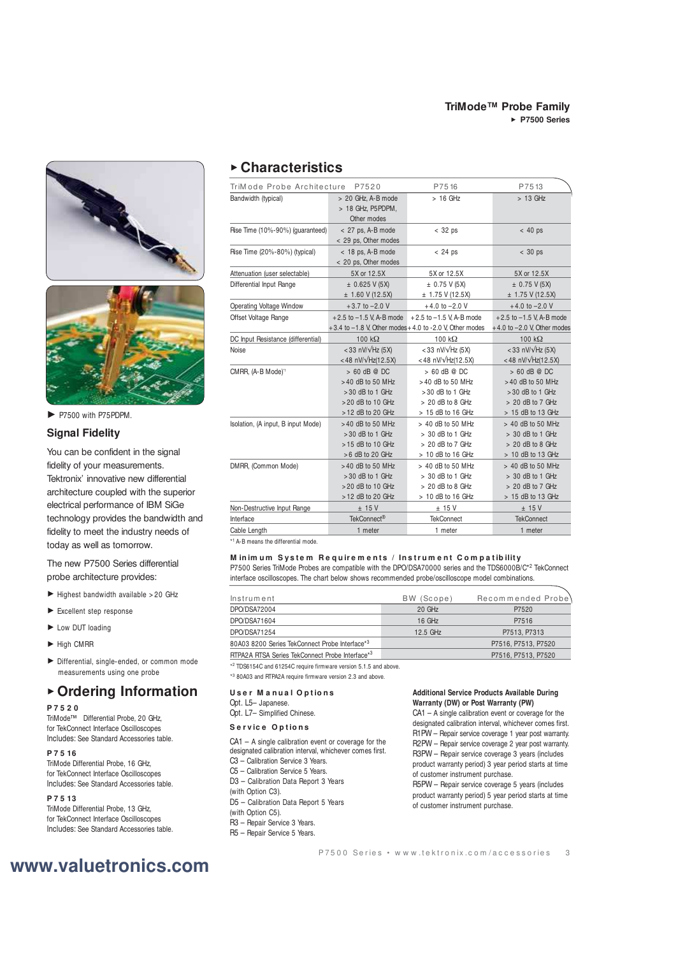



P7500 with P75PDPM.

# **Signal Fidelity**

You can be confident in the signal fidelity of your measurements. Tektronix' innovative new differential architecture coupled with the superior electrical performance of IBM SiGe technology provides the bandwidth and fidelity to meet the industry needs of today as well as tomorrow.

The new P7500 Series differential probe architecture provides:

- $\blacktriangleright$  Highest bandwidth available > 20 GHz
- Excellent step response
- Low DUT loading
- $\blacktriangleright$  High CMRR
- Differential, single-ended, or common mode measurements using one probe

# **Ordering Information**

#### **P 7 5 2 0**

TriMode™ Differential Probe, 20 GHz, for TekConnect Interface Oscilloscopes Includes: See Standard Accessories table.

#### **P 7 5 16**

TriMode Differential Probe, 16 GHz, for TekConnect Interface Oscilloscopes Includes: See Standard Accessories table.

#### **P 7 5 13**

TriMode Differential Probe, 13 GHz, for TekConnect Interface Oscilloscopes Includes: See Standard Accessories table.

# **Characteristics**

| TriMode Probe Architecture<br>P7520 |                                                                                                      | P7516                                                                                                  | P7513                                                                                              |
|-------------------------------------|------------------------------------------------------------------------------------------------------|--------------------------------------------------------------------------------------------------------|----------------------------------------------------------------------------------------------------|
| Bandwidth (typical)                 | > 20 GHz, A-B mode<br>> 18 GHz, P5PDPM,<br>Other modes                                               | $>16$ GHz                                                                                              | $> 13$ GHz                                                                                         |
| Rise Time (10%-90%) (quaranteed)    | $<$ 27 ps, A-B mode<br>< 29 ps, Other modes                                                          | $<$ 32 ps                                                                                              | $< 40$ ps                                                                                          |
| Rise Time (20%-80%) (typical)       | $<$ 18 ps, A-B mode<br>< 20 ps, Other modes                                                          | $< 24$ ps                                                                                              | $< 30$ ps                                                                                          |
| Attenuation (user selectable)       | 5X or 12.5X                                                                                          | 5X or 12.5X                                                                                            | 5X or 12.5X                                                                                        |
| Differential Input Range            | ± 0.625 V(5X)<br>± 1.60 V(12.5X)                                                                     | ± 0.75 V(5X)<br>± 1.75 V(12.5X)                                                                        | ± 0.75 V(5X)<br>$± 1.75$ V (12.5X)                                                                 |
| <b>Operating Voltage Window</b>     | $+3.7$ to $-2.0$ V                                                                                   | $+4.0$ to $-2.0$ V                                                                                     | $+4.0$ to $-2.0$ V                                                                                 |
| Offset Voltage Range                | $+2.5$ to $-1.5$ V, A-B mode<br>$+3.4$ to $-1.8$ V. Other modes $+4.0$ to -2.0 V. Other modes        | $+2.5$ to $-1.5$ V. A-B mode                                                                           | $+2.5$ to $-1.5$ V, A-B mode<br>$+4.0$ to $-2.0$ V, Other modes                                    |
| DC Input Resistance (differential)  | 100 $k\Omega$                                                                                        | 100 $k\Omega$                                                                                          | 100 $k\Omega$                                                                                      |
| Noise                               | <33 nV/ $\sqrt{Hz}$ (5X)<br><48 nV/ $V$ Hz(12.5X)                                                    | <33 nV/ $\sqrt{Hz}$ (5X)<br><48 nV/ $\sqrt{Hz(12.5X)}$                                                 | <33 nV/ $\sqrt{Hz}$ (5X)<br><48 nV/ $\sqrt{Hz(12.5X)}$                                             |
| CMRR, (A-B Mode) <sup>1</sup>       | $> 60$ dB @ DC<br>$>40$ dB to 50 MHz<br>$>30$ dB to 1 GHz<br>> 20 dB to 10 GHz<br>$>12$ dB to 20 GHz | $> 60$ dB @ DC<br>$>40$ dB to 50 MHz<br>$>30$ dB to 1 GHz<br>$> 20$ dB to 8 GHz<br>$> 15$ dB to 16 GHz | $> 60$ dB @ DC<br>>40 dB to 50 MHz<br>$>30$ dB to 1 GHz<br>$> 20$ dB to 7 GHz<br>> 15 dB to 13 GHz |
| Isolation, (A input, B input Mode)  | $>40$ dB to 50 MHz<br>$>30$ dB to 1 GHz<br>$>15$ dB to 10 GHz<br>$>6$ dB to 20 GHz                   | > 40 dB to 50 MHz<br>$> 30$ dB to 1 GHz<br>$> 20$ dB to 7 GHz<br>> 10 dB to 16 GHz                     | > 40 dB to 50 MHz<br>> 30 dB to 1 GHz<br>$> 20$ dB to 8 GHz<br>> 10 dB to 13 GHz                   |
| DMRR, (Common Mode)                 | $>40$ dB to 50 MHz<br>$>30$ dB to 1 GHz<br>$> 20$ dB to 10 GHz<br>> 12 dB to 20 GHz                  | > 40 dB to 50 MHz<br>$> 30$ dB to 1 GHz<br>$> 20$ dB to 8 GHz<br>> 10 dB to 16 GHz                     | > 40 dB to 50 MHz<br>$> 30$ dB to 1 GHz<br>$> 20$ dB to 7 GHz<br>> 15 dB to 13 GHz                 |
| Non-Destructive Input Range         | $±$ 15 V                                                                                             | ± 15 V                                                                                                 | ± 15V                                                                                              |
| Interface                           | TekConnect <sup>®</sup>                                                                              | <b>TekConnect</b>                                                                                      | <b>TekConnect</b>                                                                                  |
| Cable Length                        | 1 meter                                                                                              | 1 meter                                                                                                | 1 meter                                                                                            |

\* <sup>1</sup>A-B means the differential mode.

## **Minimum System Requirements / Instrument Compatibility**

P7500 Series TriMode Probes are compatible with the DPO/DSA70000 series and the TDS6000B/C<sup>\*2</sup> TekConnect interface oscilloscopes. The chart below shows recommended probe/oscilloscope model combinations.

| Instrument                                      | BW (Scope) | Recommended Probe)  |
|-------------------------------------------------|------------|---------------------|
| DPO/DSA72004                                    | 20 GHz     | P7520               |
| DPO/DSA71604                                    | 16 GHz     | P7516               |
| DPO/DSA71254                                    | 12.5 GHz   | P7513, P7313        |
| 80A03 8200 Series TekConnect Probe Interface*3  |            | P7516, P7513, P7520 |
| RTPA2A RTSA Series TekConnect Probe Interface*3 |            | P7516, P7513, P7520 |

\* <sup>2</sup> TDS6154C and 61254C require firmware version 5.1.5 and above.

\* <sup>3</sup> 80A03 and RTPA2A require firmware version 2.3 and above.

#### **U s e r M a n u a l O p t io n s**

Opt. L5– Japanese.

Opt. L7– Simplified Chinese.

# **S e r v ic e O p t io n s**

CA1 – A single calibration event or coverage for the designated calibration interval, whichever comes first. C3 – Calibration Service 3 Years.

C5 – Calibration Service 5 Years.

D3 – Calibration Data Report 3 Years

- (with Option C3).
- D5 Calibration Data Report 5 Years
- (with Option C5).
- R3 Repair Service 3 Years.
- R5 Repair Service 5 Years.

#### **Additional Service Products Available During Warranty (DW) or Post Warranty (PW)**

CA1 – A single calibration event or coverage for the designated calibration interval, whichever comes first. R1PW – Repair service coverage 1 year post warranty. R2PW – Repair service coverage 2 year post warranty. R3PW – Repair service coverage 3 years (includes product warranty period) 3 year period starts at time of customer instrument purchase.

R5PW – Repair service coverage 5 years (includes product warranty period) 5 year period starts at time of customer instrument purchase.